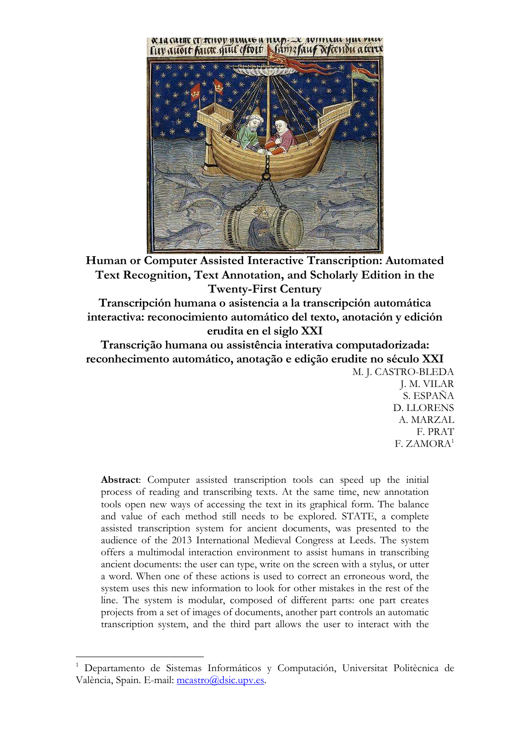

**Human or Computer Assisted Interactive Transcription: Automated Text Recognition, Text Annotation, and Scholarly Edition in the Twenty-First Century** 

**Transcripción humana o asistencia a la transcripción automática interactiva: reconocimiento automático del texto, anotación y edición erudita en el siglo XXI** 

**Transcrição humana ou assistência interativa computadorizada: reconhecimento automático, anotação e edição erudite no século XXI**  M. J. CASTRO-BLEDA

J. M. VILAR S. ESPAÑA D. LLORENS A. MARZAL F. PRAT F. ZAMORA<sup>1</sup>

**Abstract**: Computer assisted transcription tools can speed up the initial process of reading and transcribing texts. At the same time, new annotation tools open new ways of accessing the text in its graphical form. The balance and value of each method still needs to be explored. STATE, a complete assisted transcription system for ancient documents, was presented to the audience of the 2013 International Medieval Congress at Leeds. The system offers a multimodal interaction environment to assist humans in transcribing ancient documents: the user can type, write on the screen with a stylus, or utter a word. When one of these actions is used to correct an erroneous word, the system uses this new information to look for other mistakes in the rest of the line. The system is modular, composed of different parts: one part creates projects from a set of images of documents, another part controls an automatic transcription system, and the third part allows the user to interact with the

 $\overline{a}$ 

<sup>1</sup> Departamento de Sistemas Informáticos y Computación, Universitat Politècnica de València, Spain. E-mail: mcastro@dsic.upv.es.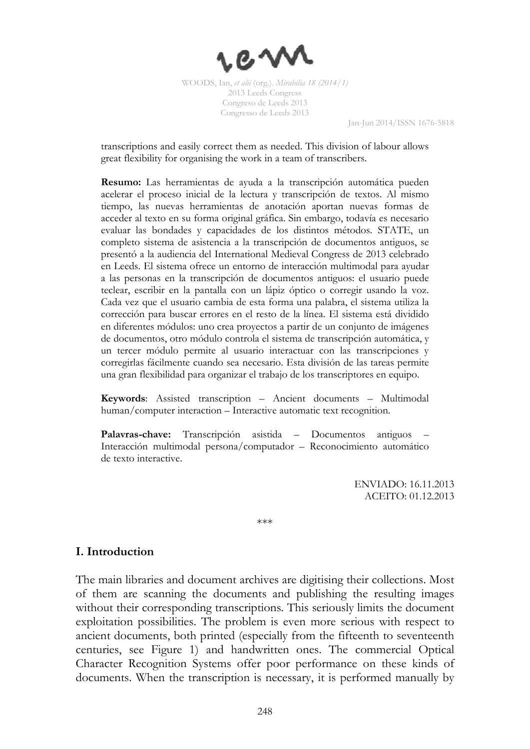

Jan-Jun 2014/ISSN 1676-5818

transcriptions and easily correct them as needed. This division of labour allows great flexibility for organising the work in a team of transcribers.

**Resumo:** Las herramientas de ayuda a la transcripción automática pueden acelerar el proceso inicial de la lectura y transcripción de textos. Al mismo tiempo, las nuevas herramientas de anotación aportan nuevas formas de acceder al texto en su forma original gráfica. Sin embargo, todavía es necesario evaluar las bondades y capacidades de los distintos métodos. STATE, un completo sistema de asistencia a la transcripción de documentos antiguos, se presentó a la audiencia del International Medieval Congress de 2013 celebrado en Leeds. El sistema ofrece un entorno de interacción multimodal para ayudar a las personas en la transcripción de documentos antiguos: el usuario puede teclear, escribir en la pantalla con un lápiz óptico o corregir usando la voz. Cada vez que el usuario cambia de esta forma una palabra, el sistema utiliza la corrección para buscar errores en el resto de la línea. El sistema está dividido en diferentes módulos: uno crea proyectos a partir de un conjunto de imágenes de documentos, otro módulo controla el sistema de transcripción automática, y un tercer módulo permite al usuario interactuar con las transcripciones y corregirlas fácilmente cuando sea necesario. Esta división de las tareas permite una gran flexibilidad para organizar el trabajo de los transcriptores en equipo.

**Keywords**: Assisted transcription – Ancient documents – Multimodal human/computer interaction – Interactive automatic text recognition.

Palavras-chave: Transcripción asistida – Documentos antiguos Interacción multimodal persona/computador – Reconocimiento automático de texto interactive.

> ENVIADO: 16.11.2013 ACEITO: 01.12.2013

\*\*\*

# **I. Introduction**

The main libraries and document archives are digitising their collections. Most of them are scanning the documents and publishing the resulting images without their corresponding transcriptions. This seriously limits the document exploitation possibilities. The problem is even more serious with respect to ancient documents, both printed (especially from the fifteenth to seventeenth centuries, see Figure 1) and handwritten ones. The commercial Optical Character Recognition Systems offer poor performance on these kinds of documents. When the transcription is necessary, it is performed manually by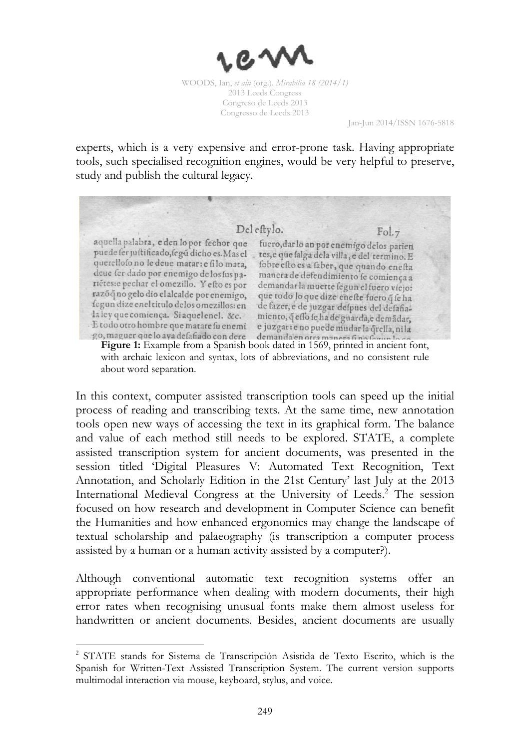

Jan-Jun 2014/ISSN 1676-5818

experts, which is a very expensive and error-prone task. Having appropriate tools, such specialised recognition engines, would be very helpful to preserve, study and publish the cultural legacy.

Del estylo.  $Fol.7$ aquella palabra, e den lo por fechor que fuero, dar lo an por enemigo delos parien puede ser justificado, segú dicho es. Mas el tes, e que salga dela villa, e del termino. E querellofo no le deue matar: e fi lo mata, fobre esto es a faber, que quando enesta deue fer dado por enemigo de los fus pamanera de defendimiento se comiença a riétes: e pechar el omezillo. Y efto es por demandar la muerte fegun el fuero viejo: razõq no gelo dio el alcalde por enemigo, que todo lo que dize enefte fuero q fe ha fegun dize enel titulo delos omezillos: en de fazer, e de juzgar despues del defafiala ley que comiença. Si aquelenel. &c. miento, qeflo fe ha de guarda, e demadar, E todo otro hombre que matare su enemi e juzgar: e no puede mudar la qrella, nila go, maguer que lo aya defafiado con dere demanda en orra manera fino forun los Figure 1: Example from a Spanish book dated in 1569, printed in ancient font,

with archaic lexicon and syntax, lots of abbreviations, and no consistent rule about word separation.

In this context, computer assisted transcription tools can speed up the initial process of reading and transcribing texts. At the same time, new annotation tools open new ways of accessing the text in its graphical form. The balance and value of each method still needs to be explored. STATE, a complete assisted transcription system for ancient documents, was presented in the session titled 'Digital Pleasures V: Automated Text Recognition, Text Annotation, and Scholarly Edition in the 21st Century' last July at the 2013 International Medieval Congress at the University of Leeds.<sup>2</sup> The session focused on how research and development in Computer Science can benefit the Humanities and how enhanced ergonomics may change the landscape of textual scholarship and palaeography (is transcription a computer process assisted by a human or a human activity assisted by a computer?).

Although conventional automatic text recognition systems offer an appropriate performance when dealing with modern documents, their high error rates when recognising unusual fonts make them almost useless for handwritten or ancient documents. Besides, ancient documents are usually

 $\overline{a}$ 

<sup>&</sup>lt;sup>2</sup> STATE stands for Sistema de Transcripción Asistida de Texto Escrito, which is the Spanish for Written-Text Assisted Transcription System. The current version supports multimodal interaction via mouse, keyboard, stylus, and voice.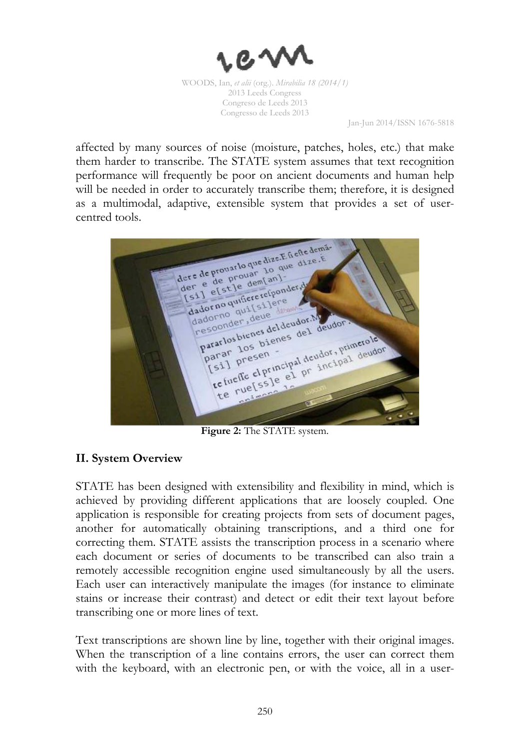

Jan-Jun 2014/ISSN 1676-5818

affected by many sources of noise (moisture, patches, holes, etc.) that make them harder to transcribe. The STATE system assumes that text recognition performance will frequently be poor on ancient documents and human help will be needed in order to accurately transcribe them; therefore, it is designed as a multimodal, adaptive, extensible system that provides a set of usercentred tools.

dere de provatlo que dize.E fi efte demádere de prouarlo que dize. E de de est le dize. E ere de prouar 10 under e de prouar 10 un dadorno qui [si] eta dadorno quifiere refpondadorno qual [silene] Pararlos bienes del deudora del de parar los bienes del deudor. Na parar los bienes del deudor rarlos bienes<br>
arar los bienes<br>
sil presen -<br>
sil presen -<br>
te rue[ss]e el pr incipal deudor arary 105 bien<br>parar presen<br>[51] me clprin

**Figure 2:** The STATE system.

# **II. System Overview**

STATE has been designed with extensibility and flexibility in mind, which is achieved by providing different applications that are loosely coupled. One application is responsible for creating projects from sets of document pages, another for automatically obtaining transcriptions, and a third one for correcting them. STATE assists the transcription process in a scenario where each document or series of documents to be transcribed can also train a remotely accessible recognition engine used simultaneously by all the users. Each user can interactively manipulate the images (for instance to eliminate stains or increase their contrast) and detect or edit their text layout before transcribing one or more lines of text.

Text transcriptions are shown line by line, together with their original images. When the transcription of a line contains errors, the user can correct them with the keyboard, with an electronic pen, or with the voice, all in a user-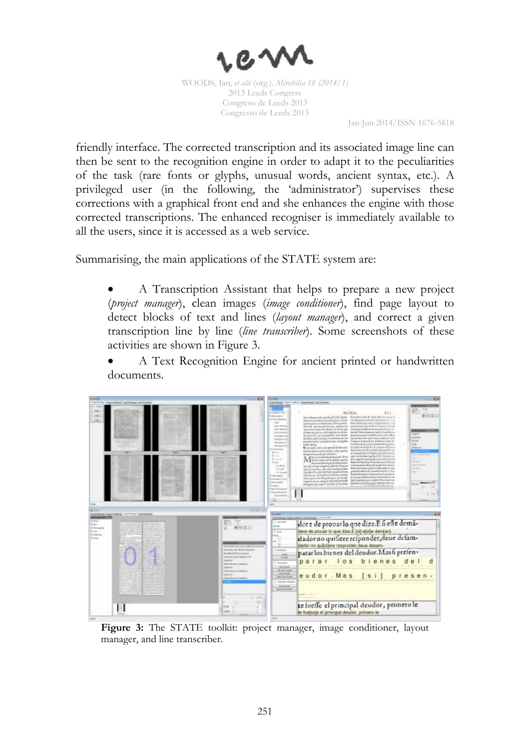

Jan-Jun 2014/ISSN 1676-5818

friendly interface. The corrected transcription and its associated image line can then be sent to the recognition engine in order to adapt it to the peculiarities of the task (rare fonts or glyphs, unusual words, ancient syntax, etc.). A privileged user (in the following, the 'administrator') supervises these corrections with a graphical front end and she enhances the engine with those corrected transcriptions. The enhanced recogniser is immediately available to all the users, since it is accessed as a web service.

Summarising, the main applications of the STATE system are:

• A Transcription Assistant that helps to prepare a new project (*project manager*), clean images (*image conditioner*), find page layout to detect blocks of text and lines (*layout manager*), and correct a given transcription line by line (*line transcriber*). Some screenshots of these activities are shown in Figure 3.

A Text Recognition Engine for ancient printed or handwritten documents.



Figure 3: The STATE toolkit: project manager, image conditioner, layout manager, and line transcriber.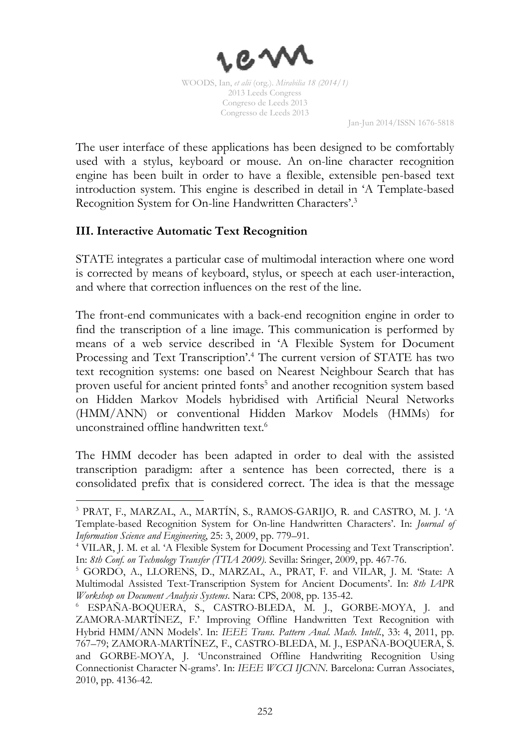

Jan-Jun 2014/ISSN 1676-5818

The user interface of these applications has been designed to be comfortably used with a stylus, keyboard or mouse. An on-line character recognition engine has been built in order to have a flexible, extensible pen-based text introduction system. This engine is described in detail in 'A Template-based Recognition System for On-line Handwritten Characters'.<sup>3</sup>

# **III. Interactive Automatic Text Recognition**

 $\overline{a}$ 

STATE integrates a particular case of multimodal interaction where one word is corrected by means of keyboard, stylus, or speech at each user-interaction, and where that correction influences on the rest of the line.

The front-end communicates with a back-end recognition engine in order to find the transcription of a line image. This communication is performed by means of a web service described in 'A Flexible System for Document Processing and Text Transcription'.<sup>4</sup> The current version of STATE has two text recognition systems: one based on Nearest Neighbour Search that has proven useful for ancient printed fonts<sup>5</sup> and another recognition system based on Hidden Markov Models hybridised with Artificial Neural Networks (HMM/ANN) or conventional Hidden Markov Models (HMMs) for unconstrained offline handwritten text.<sup>6</sup>

The HMM decoder has been adapted in order to deal with the assisted transcription paradigm: after a sentence has been corrected, there is a consolidated prefix that is considered correct. The idea is that the message

<sup>3</sup> PRAT, F., MARZAL, A., MARTÍN, S., RAMOS-GARIJO, R. and CASTRO, M. J. 'A Template-based Recognition System for On-line Handwritten Characters'. In: *Journal of Information Science and Engineering*, 25: 3, 2009, pp. 779–91.

<sup>4</sup> VILAR, J. M. et al. 'A Flexible System for Document Processing and Text Transcription'*.*  In: *8th Conf. on Technology Transfer (TTIA 2009)*. Sevilla: Sringer, 2009, pp. 467-76.

<sup>5</sup> GORDO, A., LLORENS, D., MARZAL, A., PRAT, F. and VILAR, J. M. 'State: A Multimodal Assisted Text-Transcription System for Ancient Documents'. In: *8th IAPR Workshop on Document Analysis Systems*. Nara: CPS, 2008, pp. 135-42.

<sup>6</sup> ESPAÑA-BOQUERA, S., CASTRO-BLEDA, M. J., GORBE-MOYA, J. and ZAMORA-MARTÍNEZ, F.' Improving Offline Handwritten Text Recognition with Hybrid HMM/ANN Models'. In: *IEEE Trans. Pattern Anal. Mach. Intell.*, 33: 4, 2011, pp. 767–79; ZAMORA-MARTÍNEZ, F., CASTRO-BLEDA, M. J., ESPAÑA-BOQUERA, S. and GORBE-MOYA, J. 'Unconstrained Offline Handwriting Recognition Using Connectionist Character N-grams'. In: *IEEE WCCI IJCNN*. Barcelona: Curran Associates, 2010, pp. 4136-42.